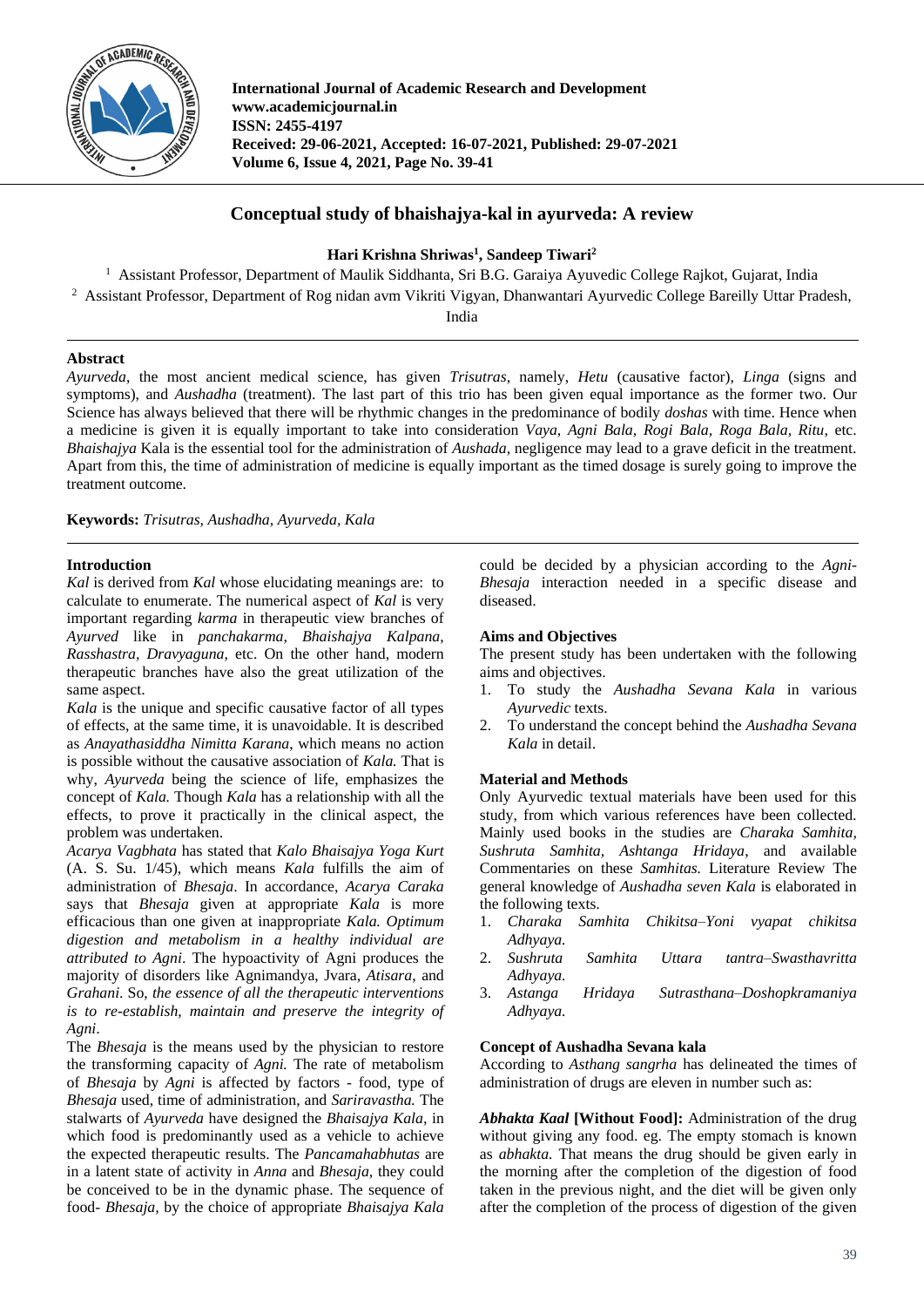

**International Journal of Academic Research and Development www.academicjournal.in ISSN: 2455-4197 Received: 29-06-2021, Accepted: 16-07-2021, Published: 29-07-2021 Volume 6, Issue 4, 2021, Page No. 39-41**

# **Conceptual study of bhaishajya-kal in ayurveda: A review**

**Hari Krishna Shriwas<sup>1</sup> , Sandeep Tiwari<sup>2</sup>**

<sup>1</sup> Assistant Professor, Department of Maulik Siddhanta, Sri B.G. Garaiya Ayuvedic College Rajkot, Gujarat, India <sup>2</sup> Assistant Professor, Department of Rog nidan avm Vikriti Vigyan, Dhanwantari Ayurvedic College Bareilly Uttar Pradesh, India

# **Abstract**

*Ayurveda*, the most ancient medical science, has given *Trisutras*, namely, *Hetu* (causative factor), *Linga* (signs and symptoms), and *Aushadha* (treatment). The last part of this trio has been given equal importance as the former two. Our Science has always believed that there will be rhythmic changes in the predominance of bodily *doshas* with time. Hence when a medicine is given it is equally important to take into consideration *Vaya, Agni Bala, Rogi Bala, Roga Bala, Ritu*, etc. *Bhaishajya* Kala is the essential tool for the administration of *Aushada,* negligence may lead to a grave deficit in the treatment. Apart from this, the time of administration of medicine is equally important as the timed dosage is surely going to improve the treatment outcome.

**Keywords:** *Trisutras, Aushadha, Ayurveda, Kala*

# **Introduction**

*Kal* is derived from *Kal* whose elucidating meanings are: to calculate to enumerate. The numerical aspect of *Kal* is very important regarding *karma* in therapeutic view branches of *Ayurved* like in *panchakarma, Bhaishajya Kalpana, Rasshastra, Dravyaguna*, etc. On the other hand, modern therapeutic branches have also the great utilization of the same aspect.

*Kala* is the unique and specific causative factor of all types of effects, at the same time, it is unavoidable. It is described as *Anayathasiddha Nimitta Karana*, which means no action is possible without the causative association of *Kala.* That is why, *Ayurveda* being the science of life, emphasizes the concept of *Kala.* Though *Kala* has a relationship with all the effects, to prove it practically in the clinical aspect, the problem was undertaken.

*Acarya Vagbhata* has stated that *Kalo Bhaisajya Yoga Kurt* (A. S. Su. 1/45), which means *Kala* fulfills the aim of administration of *Bhesaja*. In accordance, *Acarya Caraka*  says that *Bhesaja* given at appropriate *Kala* is more efficacious than one given at inappropriate *Kala. Optimum digestion and metabolism in a healthy individual are attributed to Agni*. The hypoactivity of Agni produces the majority of disorders like Agnimandya, Jvara, *Atisara*, and *Grahani*. So, *the essence of all the therapeutic interventions is to re-establish, maintain and preserve the integrity of Agni*.

The *Bhesaja* is the means used by the physician to restore the transforming capacity of *Agni.* The rate of metabolism of *Bhesaja* by *Agni* is affected by factors - food, type of *Bhesaja* used, time of administration, and *Sariravastha.* The stalwarts of *Ayurveda* have designed the *Bhaisajya Kala,* in which food is predominantly used as a vehicle to achieve the expected therapeutic results. The *Pancamahabhutas* are in a latent state of activity in *Anna* and *Bhesaja,* they could be conceived to be in the dynamic phase. The sequence of food- *Bhesaja,* by the choice of appropriate *Bhaisajya Kala* could be decided by a physician according to the *Agni-Bhesaja* interaction needed in a specific disease and diseased.

# **Aims and Objectives**

The present study has been undertaken with the following aims and objectives.

- 1. To study the *Aushadha Sevana Kala* in various *Ayurvedic* texts.
- 2. To understand the concept behind the *Aushadha Sevana Kala* in detail.

# **Material and Methods**

Only Ayurvedic textual materials have been used for this study, from which various references have been collected. Mainly used books in the studies are *Charaka Samhita, Sushruta Samhita, Ashtanga Hridaya*, and available Commentaries on these *Samhitas.* Literature Review The general knowledge of *Aushadha seven Kala* is elaborated in the following texts.

- 1. *Charaka Samhita Chikitsa–Yoni vyapat chikitsa Adhyaya.*
- 2. *Sushruta Samhita Uttara tantra–Swasthavritta Adhyaya.*
- 3. *Astanga Hridaya Sutrasthana–Doshopkramaniya Adhyaya.*

# **Concept of Aushadha Sevana kala**

According to *Asthang sangrha* has delineated the times of administration of drugs are eleven in number such as:

*Abhakta Kaal* **[Without Food]:** Administration of the drug without giving any food. eg. The empty stomach is known as *abhakta.* That means the drug should be given early in the morning after the completion of the digestion of food taken in the previous night, and the diet will be given only after the completion of the process of digestion of the given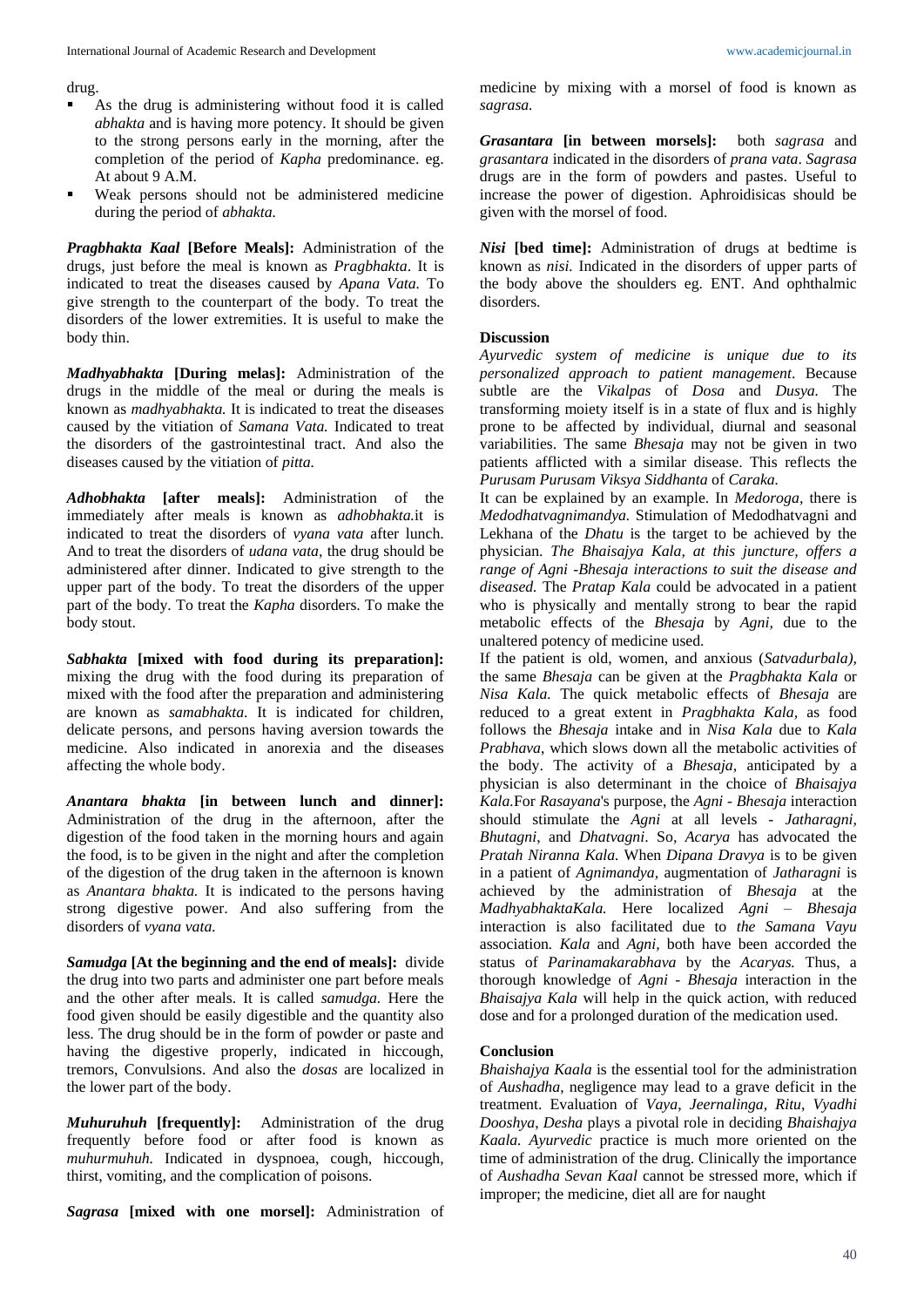drug.

- As the drug is administering without food it is called *abhakta* and is having more potency. It should be given to the strong persons early in the morning, after the completion of the period of *Kapha* predominance. eg. At about 9 A.M.
- Weak persons should not be administered medicine during the period of *abhakta.*

*Pragbhakta Kaal* **[Before Meals]:** Administration of the drugs, just before the meal is known as *Pragbhakta*. It is indicated to treat the diseases caused by *Apana Vata.* To give strength to the counterpart of the body. To treat the disorders of the lower extremities. It is useful to make the body thin.

*Madhyabhakta* **[During melas]:** Administration of the drugs in the middle of the meal or during the meals is known as *madhyabhakta.* It is indicated to treat the diseases caused by the vitiation of *Samana Vata.* Indicated to treat the disorders of the gastrointestinal tract. And also the diseases caused by the vitiation of *pitta.*

*Adhobhakta* **[after meals]:** Administration of the immediately after meals is known as *adhobhakta.*it is indicated to treat the disorders of *vyana vata* after lunch. And to treat the disorders of *udana vata,* the drug should be administered after dinner. Indicated to give strength to the upper part of the body. To treat the disorders of the upper part of the body. To treat the *Kapha* disorders. To make the body stout.

*Sabhakta* **[mixed with food during its preparation]:**  mixing the drug with the food during its preparation of mixed with the food after the preparation and administering are known as *samabhakta*. It is indicated for children, delicate persons, and persons having aversion towards the medicine. Also indicated in anorexia and the diseases affecting the whole body.

*Anantara bhakta* **[in between lunch and dinner]:**  Administration of the drug in the afternoon, after the digestion of the food taken in the morning hours and again the food, is to be given in the night and after the completion of the digestion of the drug taken in the afternoon is known as *Anantara bhakta.* It is indicated to the persons having strong digestive power. And also suffering from the disorders of *vyana vata.*

*Samudga* **[At the beginning and the end of meals]:** divide the drug into two parts and administer one part before meals and the other after meals. It is called *samudga.* Here the food given should be easily digestible and the quantity also less. The drug should be in the form of powder or paste and having the digestive properly, indicated in hiccough, tremors, Convulsions. And also the *dosas* are localized in the lower part of the body.

*Muhuruhuh* **[frequently]:** Administration of the drug frequently before food or after food is known as *muhurmuhuh.* Indicated in dyspnoea, cough, hiccough, thirst, vomiting, and the complication of poisons.

*Sagrasa* **[mixed with one morsel]:** Administration of

medicine by mixing with a morsel of food is known as *sagrasa.*

*Grasantara* **[in between morsels]:** both *sagrasa* and *grasantara* indicated in the disorders of *prana vata*. *Sagrasa*  drugs are in the form of powders and pastes. Useful to increase the power of digestion. Aphroidisicas should be given with the morsel of food.

*Nisi* **[bed time]:** Administration of drugs at bedtime is known as *nisi.* Indicated in the disorders of upper parts of the body above the shoulders eg. ENT. And ophthalmic disorders.

#### **Discussion**

*Ayurvedic system of medicine is unique due to its personalized approach to patient management*. Because subtle are the *Vikalpas* of *Dosa* and *Dusya.* The transforming moiety itself is in a state of flux and is highly prone to be affected by individual, diurnal and seasonal variabilities. The same *Bhesaja* may not be given in two patients afflicted with a similar disease. This reflects the *Purusam Purusam Viksya Siddhanta* of *Caraka.*

It can be explained by an example. In *Medoroga,* there is *Medodhatvagnimandya.* Stimulation of Medodhatvagni and Lekhana of the *Dhatu* is the target to be achieved by the physician. *The Bhaisajya Kala, at this juncture, offers a range of Agni -Bhesaja interactions to suit the disease and diseased.* The *Pratap Kala* could be advocated in a patient who is physically and mentally strong to bear the rapid metabolic effects of the *Bhesaja* by *Agni,* due to the unaltered potency of medicine used.

If the patient is old, women, and anxious (*Satvadurbala),* the same *Bhesaja* can be given at the *Pragbhakta Kala* or *Nisa Kala.* The quick metabolic effects of *Bhesaja* are reduced to a great extent in *Pragbhakta Kala,* as food follows the *Bhesaja* intake and in *Nisa Kala* due to *Kala Prabhava*, which slows down all the metabolic activities of the body. The activity of a *Bhesaja,* anticipated by a physician is also determinant in the choice of *Bhaisajya Kala.*For *Rasayana*'s purpose, the *Agni - Bhesaja* interaction should stimulate the *Agni* at all levels - *Jatharagni, Bhutagni*, and *Dhatvagni*. So*, Acarya* has advocated the *Pratah Niranna Kala.* When *Dipana Dravya* is to be given in a patient of *Agnimandya,* augmentation of *Jatharagni* is achieved by the administration of *Bhesaja* at the *MadhyabhaktaKala.* Here localized *Agni – Bhesaja*  interaction is also facilitated due to *the Samana Vayu* association*. Kala* and *Agni,* both have been accorded the status of *Parinamakarabhava* by the *Acaryas.* Thus, a thorough knowledge of *Agni - Bhesaja* interaction in the *Bhaisajya Kala* will help in the quick action, with reduced dose and for a prolonged duration of the medication used.

#### **Conclusion**

*Bhaishajya Kaala* is the essential tool for the administration of *Aushadha*, negligence may lead to a grave deficit in the treatment. Evaluation of *Vaya*, *Jeernalinga*, *Ritu*, *Vyadhi Dooshya*, *Desha* plays a pivotal role in deciding *Bhaishajya Kaala. Ayurvedic* practice is much more oriented on the time of administration of the drug. Clinically the importance of *Aushadha Sevan Kaal* cannot be stressed more, which if improper; the medicine, diet all are for naught